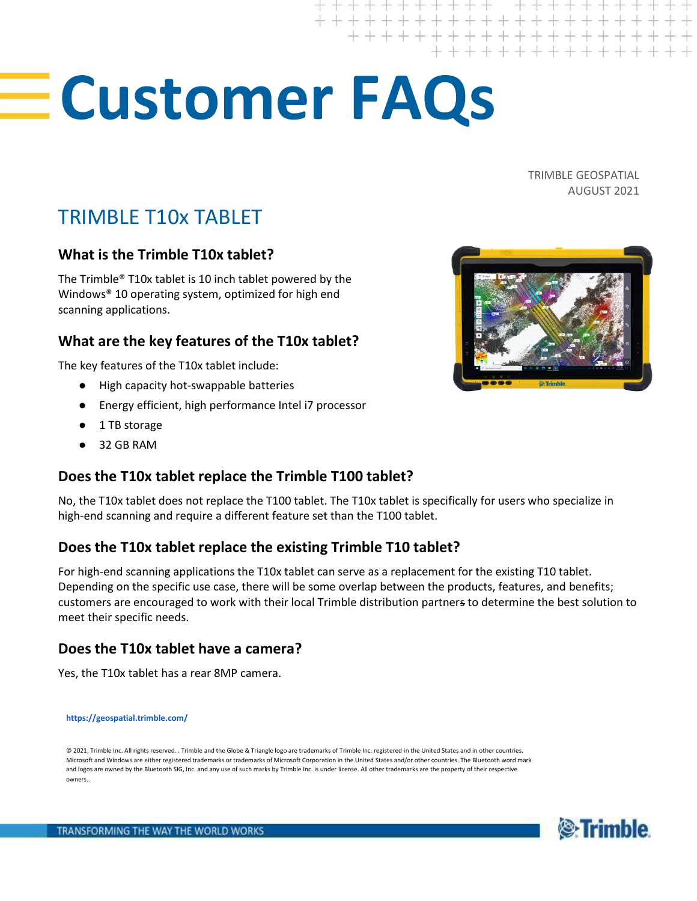# **Customer FAQs**

TRIMBLE GEOSPATIAL AUGUST 2021

# TRIMBLE T10x TABLET

#### **What is the Trimble T10x tablet?**

The Trimble® T10x tablet is 10 inch tablet powered by the Windows® 10 operating system, optimized for high end scanning applications.

# **What are the key features of the T10x tablet?**

The key features of the T10x tablet include:

- High capacity hot-swappable batteries
- Energy efficient, high performance Intel i7 processor
- 1 TB storage
- 32 GB RAM

#### **Does the T10x tablet replace the Trimble T100 tablet?**

No, the T10x tablet does not replace the T100 tablet. The T10x tablet is specifically for users who specialize in high-end scanning and require a different feature set than the T100 tablet.

# **Does the T10x tablet replace the existing Trimble T10 tablet?**

For high-end scanning applications the T10x tablet can serve as a replacement for the existing T10 tablet. Depending on the specific use case, there will be some overlap between the products, features, and benefits; customers are encouraged to work with their local Trimble distribution partners to determine the best solution to meet their specific needs.

#### **Does the T10x tablet have a camera?**

Yes, the T10x tablet has a rear 8MP camera.

**<https://geospatial.trimble.com/>**

© 2021, Trimble Inc. All rights reserved. . Trimble and the Globe & Triangle logo are trademarks of Trimble Inc. registered in the United States and in other countries. Microsoft and Windows are either registered trademarks or trademarks of Microsoft Corporation in the United States and/or other countries. The Bluetooth word mark and logos are owned by the Bluetooth SIG, Inc. and any use of such marks by Trimble Inc. is under license. All other trademarks are the property of their respective owners..





+++++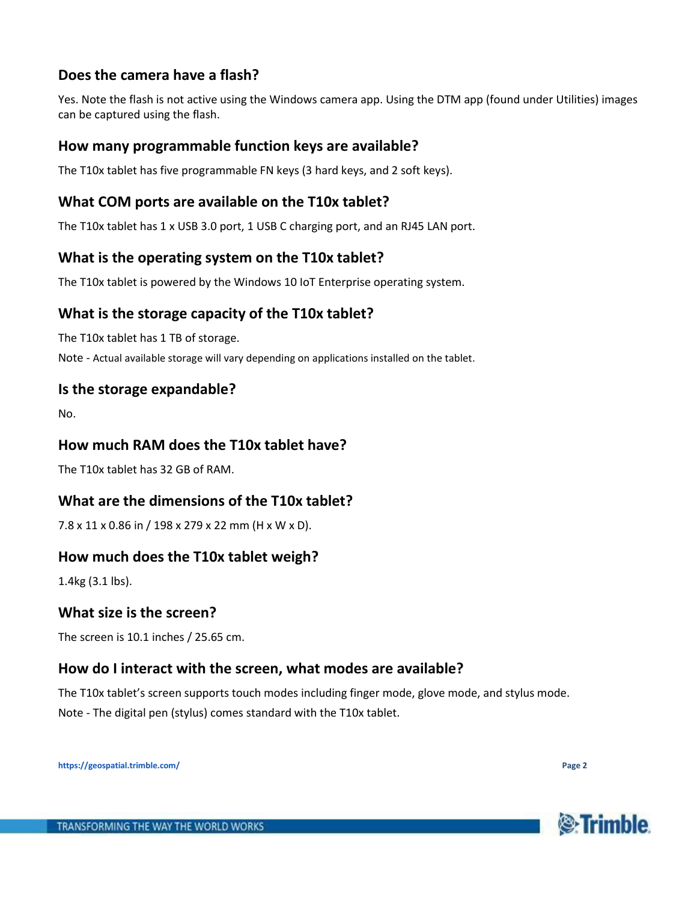# **Does the camera have a flash?**

Yes. Note the flash is not active using the Windows camera app. Using the DTM app (found under Utilities) images can be captured using the flash.

#### **How many programmable function keys are available?**

The T10x tablet has five programmable FN keys (3 hard keys, and 2 soft keys).

#### **What COM ports are available on the T10x tablet?**

The T10x tablet has 1 x USB 3.0 port, 1 USB C charging port, and an RJ45 LAN port.

#### **What is the operating system on the T10x tablet?**

The T10x tablet is powered by the Windows 10 IoT Enterprise operating system.

# **What is the storage capacity of the T10x tablet?**

The T10x tablet has 1 TB of storage.

Note - Actual available storage will vary depending on applications installed on the tablet.

#### **Is the storage expandable?**

No.

#### **How much RAM does the T10x tablet have?**

The T10x tablet has 32 GB of RAM.

#### **What are the dimensions of the T10x tablet?**

7.8 x 11 x 0.86 in / 198 x 279 x 22 mm (H x W x D).

#### **How much does the T10x tablet weigh?**

1.4kg (3.1 lbs).

#### **What size is the screen?**

The screen is 10.1 inches / 25.65 cm.

#### **How do I interact with the screen, what modes are available?**

The T10x tablet's screen supports touch modes including finger mode, glove mode, and stylus mode. Note - The digital pen (stylus) comes standard with the T10x tablet.

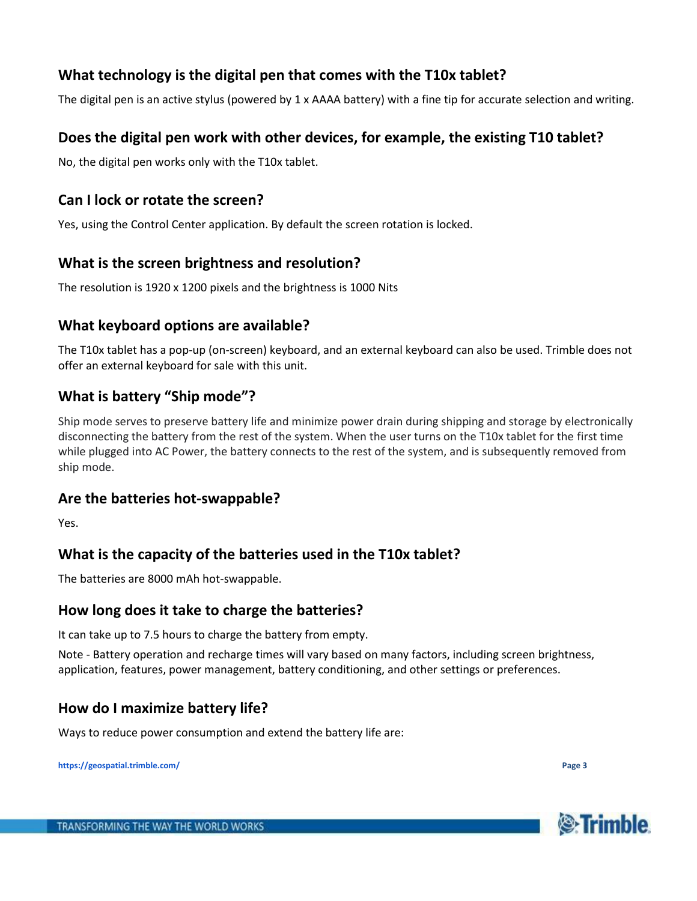# **What technology is the digital pen that comes with the T10x tablet?**

The digital pen is an active stylus (powered by 1 x AAAA battery) with a fine tip for accurate selection and writing.

#### **Does the digital pen work with other devices, for example, the existing T10 tablet?**

No, the digital pen works only with the T10x tablet.

#### **Can I lock or rotate the screen?**

Yes, using the Control Center application. By default the screen rotation is locked.

#### **What is the screen brightness and resolution?**

The resolution is 1920 x 1200 pixels and the brightness is 1000 Nits

#### **What keyboard options are available?**

The T10x tablet has a pop-up (on-screen) keyboard, and an external keyboard can also be used. Trimble does not offer an external keyboard for sale with this unit.

# **What is battery "Ship mode"?**

Ship mode serves to preserve battery life and minimize power drain during shipping and storage by electronically disconnecting the battery from the rest of the system. When the user turns on the T10x tablet for the first time while plugged into AC Power, the battery connects to the rest of the system, and is subsequently removed from ship mode.

#### **Are the batteries hot-swappable?**

Yes.

#### **What is the capacity of the batteries used in the T10x tablet?**

The batteries are 8000 mAh hot-swappable.

#### **How long does it take to charge the batteries?**

It can take up to 7.5 hours to charge the battery from empty.

Note - Battery operation and recharge times will vary based on many factors, including screen brightness, application, features, power management, battery conditioning, and other settings or preferences.

#### **How do I maximize battery life?**

Ways to reduce power consumption and extend the battery life are:

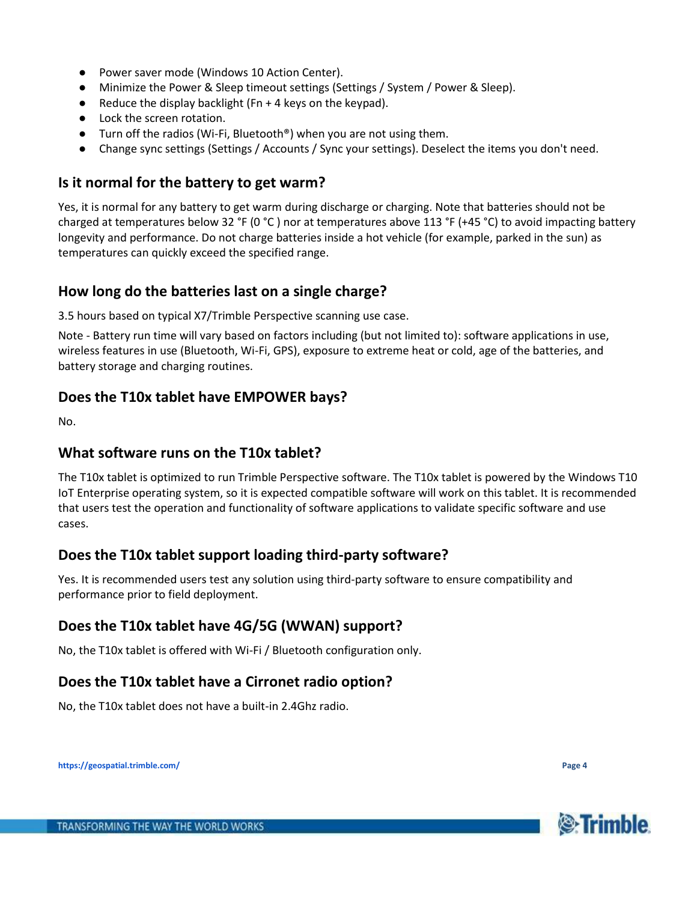- Power saver mode (Windows 10 Action Center).
- Minimize the Power & Sleep timeout settings (Settings / System / Power & Sleep).
- Reduce the display backlight ( $Fn + 4$  keys on the keypad).
- Lock the screen rotation.
- Turn off the radios (Wi-Fi, Bluetooth<sup>®</sup>) when you are not using them.
- Change sync settings (Settings / Accounts / Sync your settings). Deselect the items you don't need.

#### **Is it normal for the battery to get warm?**

Yes, it is normal for any battery to get warm during discharge or charging. Note that batteries should not be charged at temperatures below 32 °F (0 °C) nor at temperatures above 113 °F (+45 °C) to avoid impacting battery longevity and performance. Do not charge batteries inside a hot vehicle (for example, parked in the sun) as temperatures can quickly exceed the specified range.

#### **How long do the batteries last on a single charge?**

3.5 hours based on typical X7/Trimble Perspective scanning use case.

Note - Battery run time will vary based on factors including (but not limited to): software applications in use, wireless features in use (Bluetooth, Wi-Fi, GPS), exposure to extreme heat or cold, age of the batteries, and battery storage and charging routines.

#### **Does the T10x tablet have EMPOWER bays?**

No.

#### **What software runs on the T10x tablet?**

The T10x tablet is optimized to run Trimble Perspective software. The T10x tablet is powered by the Windows T10 IoT Enterprise operating system, so it is expected compatible software will work on this tablet. It is recommended that users test the operation and functionality of software applications to validate specific software and use cases.

#### **Does the T10x tablet support loading third-party software?**

Yes. It is recommended users test any solution using third-party software to ensure compatibility and performance prior to field deployment.

#### **Does the T10x tablet have 4G/5G (WWAN) support?**

No, the T10x tablet is offered with Wi-Fi / Bluetooth configuration only.

#### **Does the T10x tablet have a Cirronet radio option?**

No, the T10x tablet does not have a built-in 2.4Ghz radio.

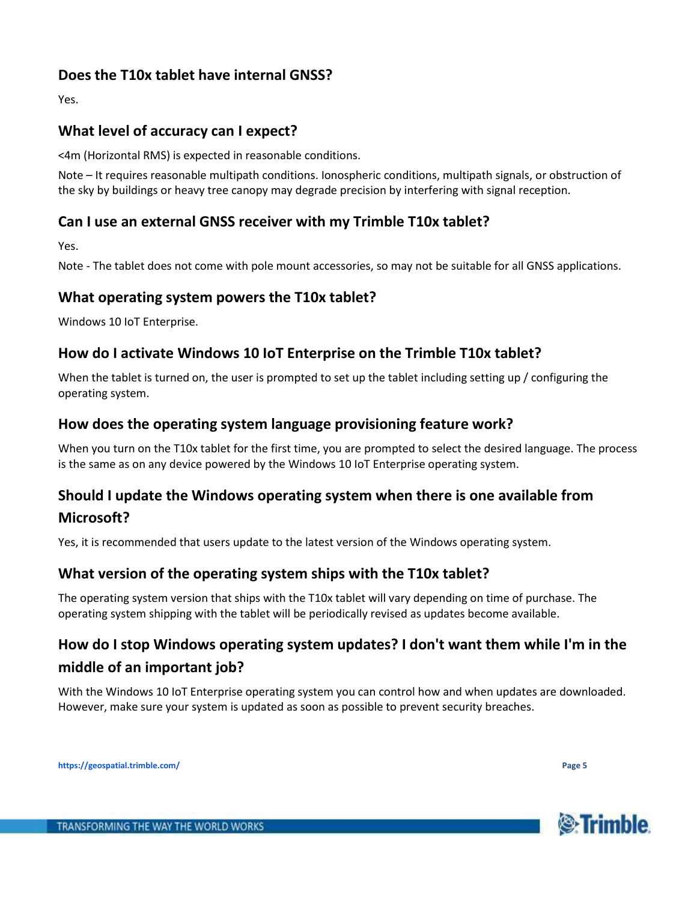# **Does the T10x tablet have internal GNSS?**

Yes.

# **What level of accuracy can I expect?**

<4m (Horizontal RMS) is expected in reasonable conditions.

Note – It requires reasonable multipath conditions. Ionospheric conditions, multipath signals, or obstruction of the sky by buildings or heavy tree canopy may degrade precision by interfering with signal reception.

#### **Can I use an external GNSS receiver with my Trimble T10x tablet?**

Yes.

Note - The tablet does not come with pole mount accessories, so may not be suitable for all GNSS applications.

#### **What operating system powers the T10x tablet?**

Windows 10 IoT Enterprise.

# **How do I activate Windows 10 IoT Enterprise on the Trimble T10x tablet?**

When the tablet is turned on, the user is prompted to set up the tablet including setting up / configuring the operating system.

# **How does the operating system language provisioning feature work?**

When you turn on the T10x tablet for the first time, you are prompted to select the desired language. The process is the same as on any device powered by the Windows 10 IoT Enterprise operating system.

# **Should I update the Windows operating system when there is one available from**

# **Microsoft?**

Yes, it is recommended that users update to the latest version of the Windows operating system.

# **What version of the operating system ships with the T10x tablet?**

The operating system version that ships with the T10x tablet will vary depending on time of purchase. The operating system shipping with the tablet will be periodically revised as updates become available.

# **How do I stop Windows operating system updates? I don't want them while I'm in the middle of an important job?**

With the Windows 10 IoT Enterprise operating system you can control how and when updates are downloaded. However, make sure your system is updated as soon as possible to prevent security breaches.